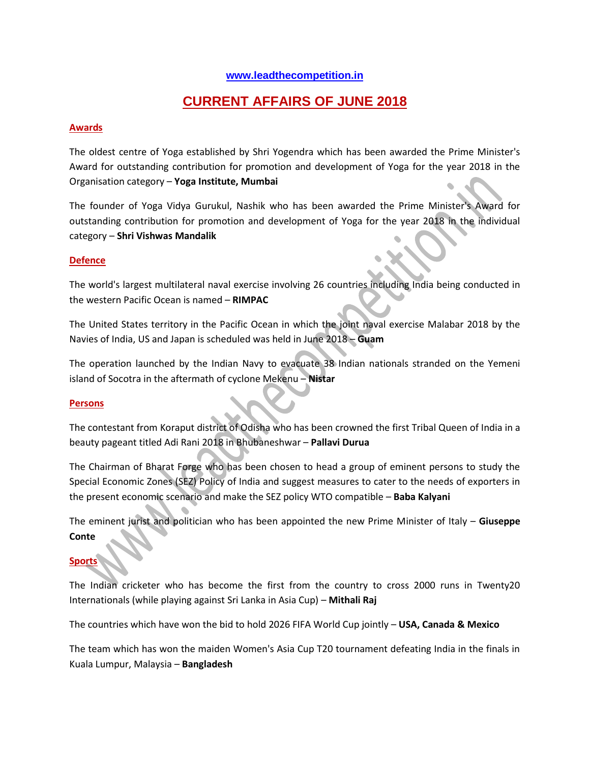### **[www.leadthecompetition.in](http://www.leadthecompetition.in/)**

# **CURRENT AFFAIRS OF JUNE 2018**

### **Awards**

The oldest centre of Yoga established by Shri Yogendra which has been awarded the Prime Minister's Award for outstanding contribution for promotion and development of Yoga for the year 2018 in the Organisation category – **Yoga Institute, Mumbai**

The founder of Yoga Vidya Gurukul, Nashik who has been awarded the Prime Minister's Award for outstanding contribution for promotion and development of Yoga for the year 2018 in the individual category – **Shri Vishwas Mandalik**

#### **Defence**

The world's largest multilateral naval exercise involving 26 countries including India being conducted in the western Pacific Ocean is named – **RIMPAC**

The United States territory in the Pacific Ocean in which the joint naval exercise Malabar 2018 by the Navies of India, US and Japan is scheduled was held in June 2018 – **Guam**

The operation launched by the Indian Navy to evacuate 38 Indian nationals stranded on the Yemeni island of Socotra in the aftermath of cyclone Mekenu – **Nistar**

#### **Persons**

The contestant from Koraput district of Odisha who has been crowned the first Tribal Queen of India in a beauty pageant titled Adi Rani 2018 in Bhubaneshwar – **Pallavi Durua**

The Chairman of Bharat Forge who has been chosen to head a group of eminent persons to study the Special Economic Zones (SEZ) Policy of India and suggest measures to cater to the needs of exporters in the present economic scenario and make the SEZ policy WTO compatible – **Baba Kalyani**

The eminent jurist and politician who has been appointed the new Prime Minister of Italy – **Giuseppe Conte**

### **Sports**

The Indian cricketer who has become the first from the country to cross 2000 runs in Twenty20 Internationals (while playing against Sri Lanka in Asia Cup) – **Mithali Raj**

The countries which have won the bid to hold 2026 FIFA World Cup jointly – **USA, Canada & Mexico**

The team which has won the maiden Women's Asia Cup T20 tournament defeating India in the finals in Kuala Lumpur, Malaysia – **Bangladesh**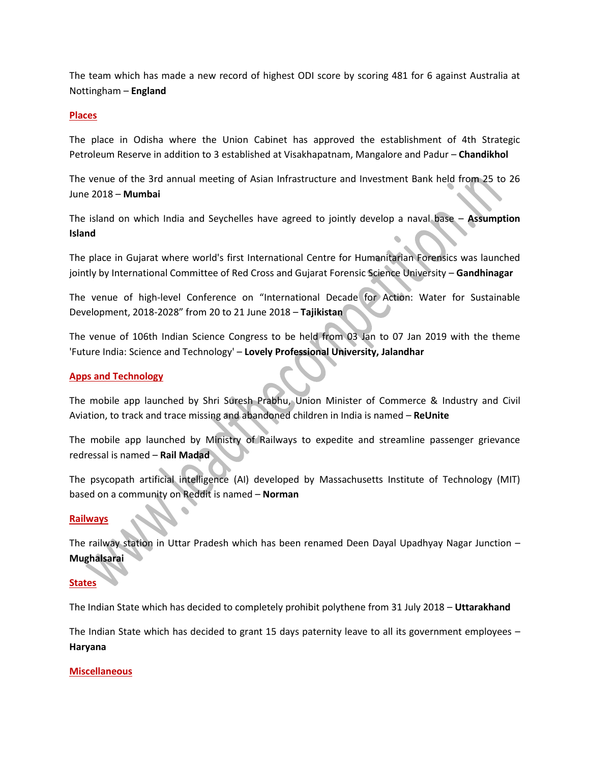The team which has made a new record of highest ODI score by scoring 481 for 6 against Australia at Nottingham – **England**

### **Places**

The place in Odisha where the Union Cabinet has approved the establishment of 4th Strategic Petroleum Reserve in addition to 3 established at Visakhapatnam, Mangalore and Padur – **Chandikhol**

The venue of the 3rd annual meeting of Asian Infrastructure and Investment Bank held from 25 to 26 June 2018 – **Mumbai**

The island on which India and Seychelles have agreed to jointly develop a naval base – **Assumption Island**

The place in Gujarat where world's first International Centre for Humanitarian Forensics was launched jointly by International Committee of Red Cross and Gujarat Forensic Science University – **Gandhinagar**

The venue of high-level Conference on "International Decade for Action: Water for Sustainable Development, 2018-2028" from 20 to 21 June 2018 – **Tajikistan**

The venue of 106th Indian Science Congress to be held from 03 Jan to 07 Jan 2019 with the theme 'Future India: Science and Technology' – **Lovely Professional University, Jalandhar**

#### **Apps and Technology**

The mobile app launched by Shri Suresh Prabhu, Union Minister of Commerce & Industry and Civil Aviation, to track and trace missing and abandoned children in India is named – **ReUnite**

The mobile app launched by Ministry of Railways to expedite and streamline passenger grievance redressal is named – **Rail Madad**

The psycopath artificial intelligence (AI) developed by Massachusetts Institute of Technology (MIT) based on a community on Reddit is named – **Norman**

#### **Railways**

The railway station in Uttar Pradesh which has been renamed Deen Dayal Upadhyay Nagar Junction – **Mughalsarai**

### **States**

The Indian State which has decided to completely prohibit polythene from 31 July 2018 – **Uttarakhand**

The Indian State which has decided to grant 15 days paternity leave to all its government employees – **Haryana**

#### **Miscellaneous**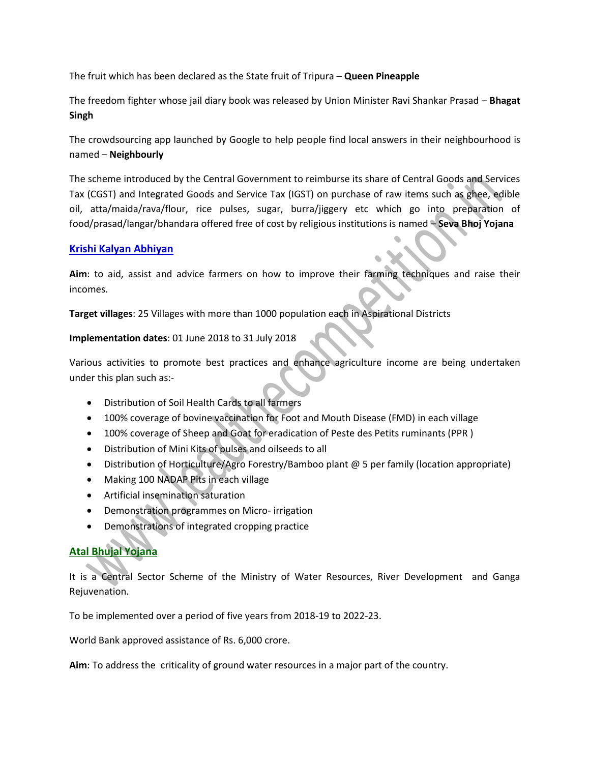The fruit which has been declared as the State fruit of Tripura – **Queen Pineapple**

The freedom fighter whose jail diary book was released by Union Minister Ravi Shankar Prasad – **Bhagat Singh**

The crowdsourcing app launched by Google to help people find local answers in their neighbourhood is named – **Neighbourly**

The scheme introduced by the Central Government to reimburse its share of Central Goods and Services Tax (CGST) and Integrated Goods and Service Tax (IGST) on purchase of raw items such as ghee, edible oil, atta/maida/rava/flour, rice pulses, sugar, burra/jiggery etc which go into preparation of food/prasad/langar/bhandara offered free of cost by religious institutions is named – **Seva Bhoj Yojana**

### **Krishi Kalyan Abhiyan**

**Aim**: to aid, assist and advice farmers on how to improve their farming techniques and raise their incomes.

**Target villages**: 25 Villages with more than 1000 population each in Aspirational Districts

**Implementation dates**: 01 June 2018 to 31 July 2018

Various activities to promote best practices and enhance agriculture income are being undertaken under this plan such as:-

- Distribution of Soil Health Cards to all farmers
- 100% coverage of bovine vaccination for Foot and Mouth Disease (FMD) in each village
- 100% coverage of Sheep and Goat for eradication of Peste des Petits ruminants (PPR )
- Distribution of Mini Kits of pulses and oilseeds to all
- Distribution of Horticulture/Agro Forestry/Bamboo plant @ 5 per family (location appropriate)
- Making 100 NADAP Pits in each village
- Artificial insemination saturation
- Demonstration programmes on Micro- irrigation
- Demonstrations of integrated cropping practice

# **Atal Bhujal Yojana**

It is a Central Sector Scheme of the Ministry of Water Resources, River Development and Ganga Rejuvenation.

To be implemented over a period of five years from 2018-19 to 2022-23.

World Bank approved assistance of Rs. 6,000 crore.

**Aim**: To address the criticality of ground water resources in a major part of the country.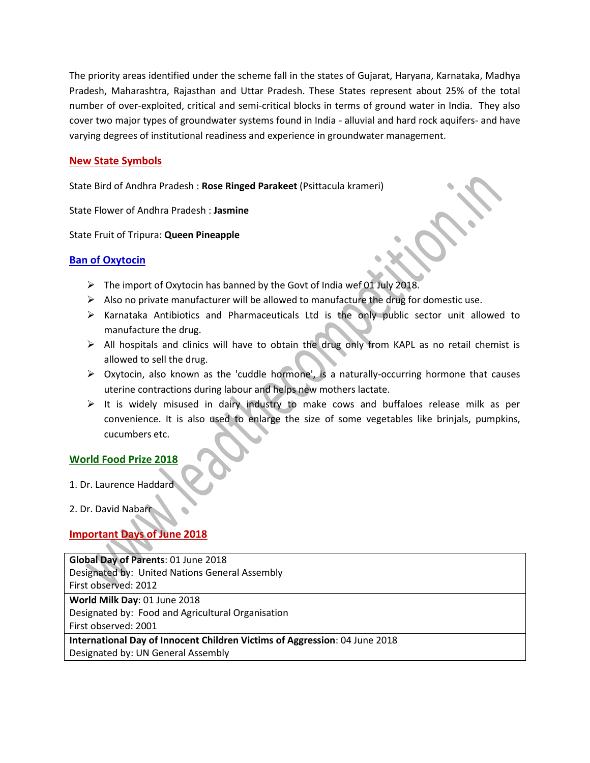The priority areas identified under the scheme fall in the states of Gujarat, Haryana, Karnataka, Madhya Pradesh, Maharashtra, Rajasthan and Uttar Pradesh. These States represent about 25% of the total number of over-exploited, critical and semi-critical blocks in terms of ground water in India. They also cover two major types of groundwater systems found in India - alluvial and hard rock aquifers- and have varying degrees of institutional readiness and experience in groundwater management.

### **New State Symbols**

State Bird of Andhra Pradesh : **Rose Ringed Parakeet** (Psittacula krameri)

State Flower of Andhra Pradesh : **Jasmine**

State Fruit of Tripura: **Queen Pineapple**

### **Ban of Oxytocin**

- $\triangleright$  The import of Oxytocin has banned by the Govt of India wef 01 July 2018.
- $\triangleright$  Also no private manufacturer will be allowed to manufacture the drug for domestic use.
- $\triangleright$  Karnataka Antibiotics and Pharmaceuticals Ltd is the only public sector unit allowed to manufacture the drug.
- All hospitals and clinics will have to obtain the drug only from KAPL as no retail chemist is allowed to sell the drug.
- $\triangleright$  Oxytocin, also known as the 'cuddle hormone', is a naturally-occurring hormone that causes uterine contractions during labour and helps new mothers lactate.
- $\triangleright$  It is widely misused in dairy industry to make cows and buffaloes release milk as per convenience. It is also used to enlarge the size of some vegetables like brinjals, pumpkins, cucumbers etc.

### **World Food Prize 2018**

1. Dr. Laurence Haddard

2. Dr. David Nabarr

## **Important Days of June 2018**

| Global Day of Parents: 01 June 2018                                        |  |  |
|----------------------------------------------------------------------------|--|--|
| Designated by: United Nations General Assembly                             |  |  |
| First observed: 2012                                                       |  |  |
| World Milk Day: 01 June 2018                                               |  |  |
| Designated by: Food and Agricultural Organisation                          |  |  |
| First observed: 2001                                                       |  |  |
| International Day of Innocent Children Victims of Aggression: 04 June 2018 |  |  |
| Designated by: UN General Assembly                                         |  |  |
|                                                                            |  |  |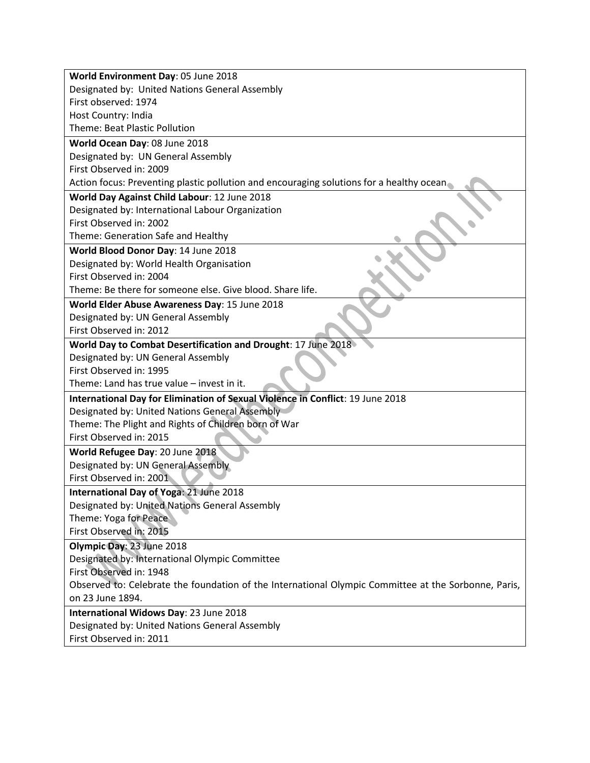| World Environment Day: 05 June 2018                                                                  |  |  |
|------------------------------------------------------------------------------------------------------|--|--|
| Designated by: United Nations General Assembly                                                       |  |  |
| First observed: 1974                                                                                 |  |  |
| Host Country: India                                                                                  |  |  |
| <b>Theme: Beat Plastic Pollution</b>                                                                 |  |  |
| World Ocean Day: 08 June 2018                                                                        |  |  |
| Designated by: UN General Assembly                                                                   |  |  |
| First Observed in: 2009                                                                              |  |  |
| Action focus: Preventing plastic pollution and encouraging solutions for a healthy ocean             |  |  |
| World Day Against Child Labour: 12 June 2018                                                         |  |  |
| Designated by: International Labour Organization                                                     |  |  |
| First Observed in: 2002                                                                              |  |  |
| Theme: Generation Safe and Healthy                                                                   |  |  |
| World Blood Donor Day: 14 June 2018                                                                  |  |  |
| Designated by: World Health Organisation                                                             |  |  |
| First Observed in: 2004                                                                              |  |  |
| Theme: Be there for someone else. Give blood. Share life.                                            |  |  |
| World Elder Abuse Awareness Day: 15 June 2018                                                        |  |  |
| Designated by: UN General Assembly                                                                   |  |  |
| First Observed in: 2012                                                                              |  |  |
| World Day to Combat Desertification and Drought: 17 June 2018                                        |  |  |
| Designated by: UN General Assembly                                                                   |  |  |
| First Observed in: 1995                                                                              |  |  |
| Theme: Land has true value - invest in it.                                                           |  |  |
| International Day for Elimination of Sexual Violence in Conflict: 19 June 2018                       |  |  |
| Designated by: United Nations General Assembly                                                       |  |  |
| Theme: The Plight and Rights of Children born of War                                                 |  |  |
| First Observed in: 2015                                                                              |  |  |
| World Refugee Day: 20 June 2018                                                                      |  |  |
| Designated by: UN General Assembly                                                                   |  |  |
| First Observed in: 2001                                                                              |  |  |
| International Day of Yoga: 21 June 2018                                                              |  |  |
| Designated by: United Nations General Assembly                                                       |  |  |
| Theme: Yoga for Peace                                                                                |  |  |
| First Observed in: 2015                                                                              |  |  |
| Olympic Day: 23 June 2018                                                                            |  |  |
| Designated by: International Olympic Committee                                                       |  |  |
| First Observed in: 1948                                                                              |  |  |
| Observed to: Celebrate the foundation of the International Olympic Committee at the Sorbonne, Paris, |  |  |
| on 23 June 1894.                                                                                     |  |  |
| International Widows Day: 23 June 2018                                                               |  |  |
| Designated by: United Nations General Assembly                                                       |  |  |
| First Observed in: 2011                                                                              |  |  |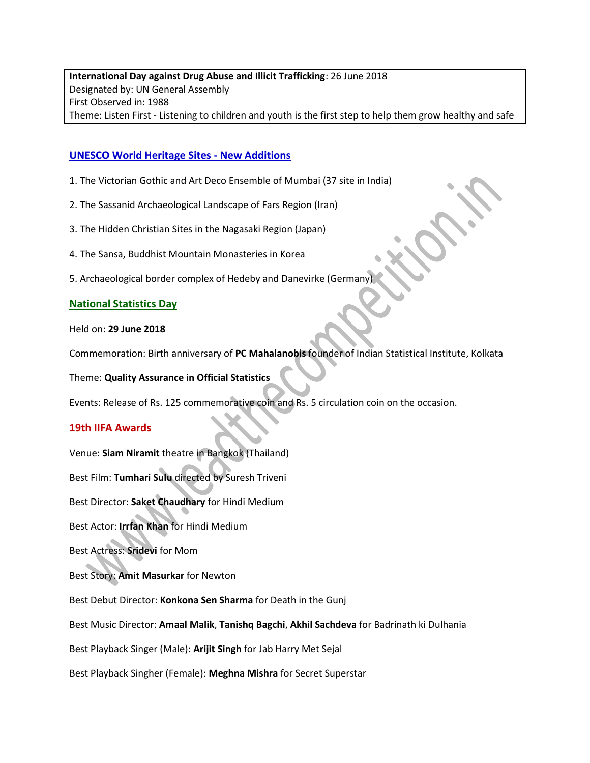**International Day against Drug Abuse and Illicit Trafficking**: 26 June 2018 Designated by: UN General Assembly First Observed in: 1988 Theme: Listen First - Listening to children and youth is the first step to help them grow healthy and safe

### **UNESCO World Heritage Sites - New Additions**

- 1. The Victorian Gothic and Art Deco Ensemble of Mumbai (37 site in India)
- 2. The Sassanid Archaeological Landscape of Fars Region (Iran)
- 3. The Hidden Christian Sites in the Nagasaki Region (Japan)
- 4. The Sansa, Buddhist Mountain Monasteries in Korea
- 5. Archaeological border complex of Hedeby and Danevirke (Germany)

### **National Statistics Day**

### Held on: **29 June 2018**

Commemoration: Birth anniversary of **PC Mahalanobis** founder of Indian Statistical Institute, Kolkata

Theme: **Quality Assurance in Official Statistics**

Events: Release of Rs. 125 commemorative coin and Rs. 5 circulation coin on the occasion.

### **19th IIFA Awards**

Venue: **Siam Niramit** theatre in Bangkok (Thailand)

Best Film: **Tumhari Sulu** directed by Suresh Triveni

Best Director: **Saket Chaudhary** for Hindi Medium

Best Actor: **Irrfan Khan** for Hindi Medium

Best Actress: **Sridevi** for Mom

Best Story: **Amit Masurkar** for Newton

Best Debut Director: **Konkona Sen Sharma** for Death in the Gunj

Best Music Director: **Amaal Malik**, **Tanishq Bagchi**, **Akhil Sachdeva** for Badrinath ki Dulhania

Best Playback Singer (Male): **Arijit Singh** for Jab Harry Met Sejal

Best Playback Singher (Female): **Meghna Mishra** for Secret Superstar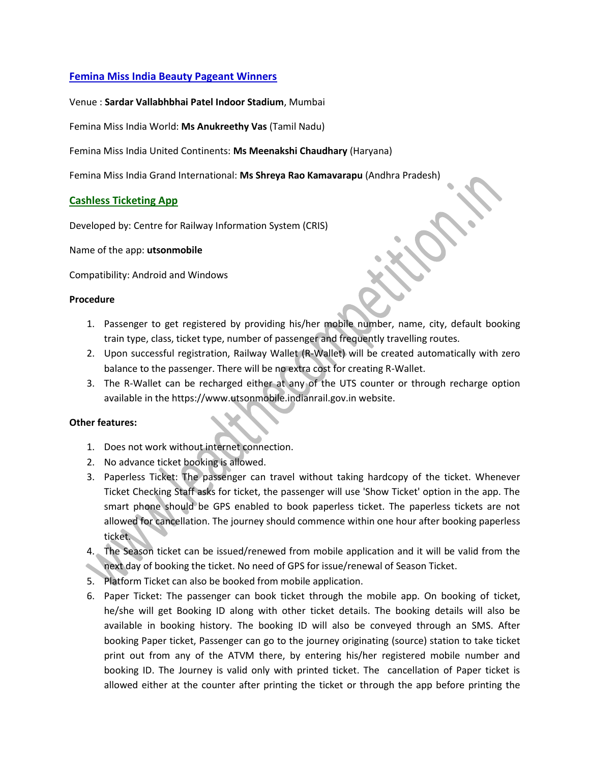### **Femina Miss India Beauty Pageant Winners**

Venue : **Sardar Vallabhbhai Patel Indoor Stadium**, Mumbai

Femina Miss India World: **Ms Anukreethy Vas** (Tamil Nadu)

Femina Miss India United Continents: **Ms Meenakshi Chaudhary** (Haryana)

Femina Miss India Grand International: **Ms Shreya Rao Kamavarapu** (Andhra Pradesh)

### **Cashless Ticketing App**

Developed by: Centre for Railway Information System (CRIS)

Name of the app: **utsonmobile**

Compatibility: Android and Windows

### **Procedure**

- 1. Passenger to get registered by providing his/her mobile number, name, city, default booking train type, class, ticket type, number of passenger and frequently travelling routes.
- 2. Upon successful registration, Railway Wallet (R-Wallet) will be created automatically with zero balance to the passenger. There will be no extra cost for creating R-Wallet.
- 3. The R-Wallet can be recharged either at any of the UTS counter or through recharge option available in the https://www.utsonmobile.indianrail.gov.in website.

### **Other features:**

- 1. Does not work without internet connection.
- 2. No advance ticket booking is allowed.
- 3. Paperless Ticket: The passenger can travel without taking hardcopy of the ticket. Whenever Ticket Checking Staff asks for ticket, the passenger will use 'Show Ticket' option in the app. The smart phone should be GPS enabled to book paperless ticket. The paperless tickets are not allowed for cancellation. The journey should commence within one hour after booking paperless ticket.
- 4. The Season ticket can be issued/renewed from mobile application and it will be valid from the next day of booking the ticket. No need of GPS for issue/renewal of Season Ticket.
- 5. Platform Ticket can also be booked from mobile application.
- 6. Paper Ticket: The passenger can book ticket through the mobile app. On booking of ticket, he/she will get Booking ID along with other ticket details. The booking details will also be available in booking history. The booking ID will also be conveyed through an SMS. After booking Paper ticket, Passenger can go to the journey originating (source) station to take ticket print out from any of the ATVM there, by entering his/her registered mobile number and booking ID. The Journey is valid only with printed ticket. The cancellation of Paper ticket is allowed either at the counter after printing the ticket or through the app before printing the